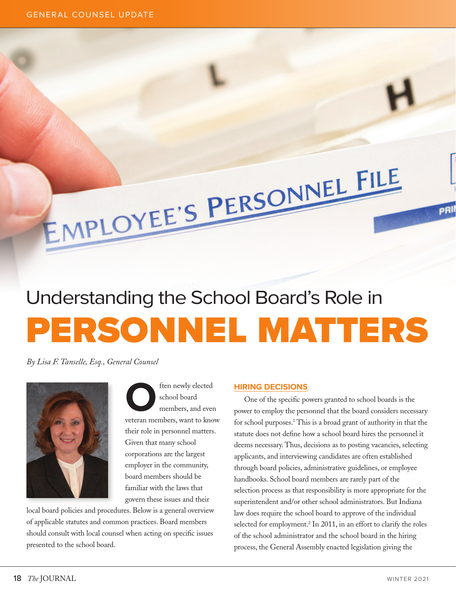# PERSONNEL MATTERS Understanding the School Board's Role in

EMPLOYEE'S PERSONNEL FILE

*By Lisa F. Tanselle, Esq., General Counsel*



**CO**<br>
school board<br>
members, and even<br>
veteran members, want to know school board members, and even their role in personnel matters. Given that many school corporations are the largest employer in the community, board members should be familiar with the laws that govern these issues and their

local board policies and procedures. Below is a general overview of applicable statutes and common practices. Board members should consult with local counsel when acting on specific issues presented to the school board.

## **HIRING DECISIONS**

One of the specific powers granted to school boards is the power to employ the personnel that the board considers necessary for school purposes.<sup>1</sup> This is a broad grant of authority in that the statute does not define how a school board hires the personnel it deems necessary. Thus, decisions as to posting vacancies, selecting applicants, and interviewing candidates are often established through board policies, administrative guidelines, or employee handbooks. School board members are rarely part of the selection process as that responsibility is more appropriate for the superintendent and/or other school administrators. But Indiana law does require the school board to approve of the individual selected for employment.<sup>2</sup> In 2011, in an effort to clarify the roles of the school administrator and the school board in the hiring process, the General Assembly enacted legislation giving the

pRII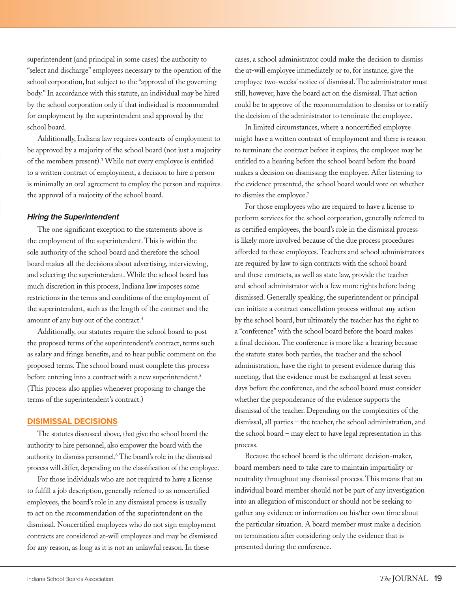superintendent (and principal in some cases) the authority to "select and discharge" employees necessary to the operation of the school corporation, but subject to the "approval of the governing body." In accordance with this statute, an individual may be hired by the school corporation only if that individual is recommended for employment by the superintendent and approved by the school board.

Additionally, Indiana law requires contracts of employment to be approved by a majority of the school board (not just a majority of the members present).3 While not every employee is entitled to a written contract of employment, a decision to hire a person is minimally an oral agreement to employ the person and requires the approval of a majority of the school board.

#### *Hiring the Superintendent*

The one significant exception to the statements above is the employment of the superintendent. This is within the sole authority of the school board and therefore the school board makes all the decisions about advertising, interviewing, and selecting the superintendent. While the school board has much discretion in this process, Indiana law imposes some restrictions in the terms and conditions of the employment of the superintendent, such as the length of the contract and the amount of any buy out of the contract.4

Additionally, our statutes require the school board to post the proposed terms of the superintendent's contract, terms such as salary and fringe benefits, and to hear public comment on the proposed terms. The school board must complete this process before entering into a contract with a new superintendent.<sup>5</sup> (This process also applies whenever proposing to change the terms of the superintendent's contract.)

## **DISIMISSAL DECISIONS**

The statutes discussed above, that give the school board the authority to hire personnel, also empower the board with the authority to dismiss personnel.<sup>6</sup> The board's role in the dismissal process will differ, depending on the classification of the employee.

For those individuals who are not required to have a license to fulfill a job description, generally referred to as noncertified employees, the board's role in any dismissal process is usually to act on the recommendation of the superintendent on the dismissal. Noncertified employees who do not sign employment contracts are considered at-will employees and may be dismissed for any reason, as long as it is not an unlawful reason. In these

cases, a school administrator could make the decision to dismiss the at-will employee immediately or to, for instance, give the employee two-weeks' notice of dismissal. The administrator must still, however, have the board act on the dismissal. That action could be to approve of the recommendation to dismiss or to ratify the decision of the administrator to terminate the employee.

In limited circumstances, where a noncertified employee might have a written contract of employment and there is reason to terminate the contract before it expires, the employee may be entitled to a hearing before the school board before the board makes a decision on dismissing the employee. After listening to the evidence presented, the school board would vote on whether to dismiss the employee.<sup>7</sup>

For those employees who are required to have a license to perform services for the school corporation, generally referred to as certified employees, the board's role in the dismissal process is likely more involved because of the due process procedures afforded to these employees. Teachers and school administrators are required by law to sign contracts with the school board and these contracts, as well as state law, provide the teacher and school administrator with a few more rights before being dismissed. Generally speaking, the superintendent or principal can initiate a contract cancellation process without any action by the school board, but ultimately the teacher has the right to a "conference" with the school board before the board makes a final decision. The conference is more like a hearing because the statute states both parties, the teacher and the school administration, have the right to present evidence during this meeting, that the evidence must be exchanged at least seven days before the conference, and the school board must consider whether the preponderance of the evidence supports the dismissal of the teacher. Depending on the complexities of the dismissal, all parties – the teacher, the school administration, and the school board – may elect to have legal representation in this process.

Because the school board is the ultimate decision-maker, board members need to take care to maintain impartiality or neutrality throughout any dismissal process. This means that an individual board member should not be part of any investigation into an allegation of misconduct or should not be seeking to gather any evidence or information on his/her own time about the particular situation. A board member must make a decision on termination after considering only the evidence that is presented during the conference.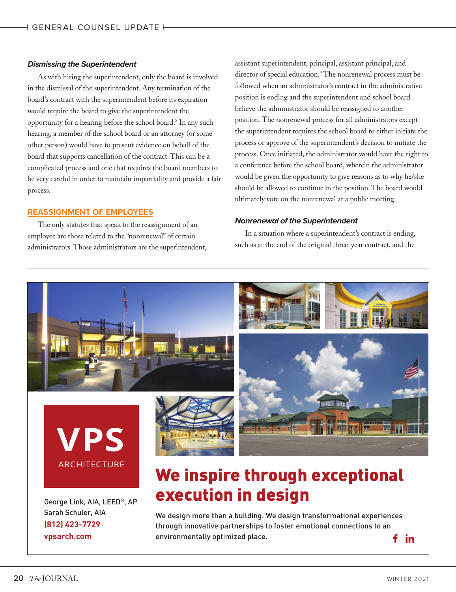#### *Dismissing the Superintendent*

As with hiring the superintendent, only the board is involved in the dismissal of the superintendent. Any termination of the board's contract with the superintendent before its expiration would require the board to give the superintendent the opportunity for a hearing before the school board.8 In any such hearing, a member of the school board or an attorney (or some other person) would have to present evidence on behalf of the board that supports cancellation of the contract. This can be a complicated process and one that requires the board members to be very careful in order to maintain impartiality and provide a fair process.

#### **REASSIGNMENT OF EMPLOYEES**

The only statutes that speak to the reassignment of an employee are those related to the "nonrenewal" of certain administrators. Those administrators are the superintendent,

assistant superintendent, principal, assistant principal, and director of special education.<sup>9</sup> The nonrenewal process must be followed when an administrator's contract in the administrative position is ending and the superintendent and school board believe the administrator should be reassigned to another position. The nonrenewal process for all administrators except the superintendent requires the school board to either initiate the process or approve of the superintendent's decision to initiate the process. Once initiated, the administrator would have the right to a conference before the school board, wherein the administrator would be given the opportunity to give reasons as to why he/she should be allowed to continue in the position. The board would ultimately vote on the nonrenewal at a public meeting.

#### *Nonrenewal of the Superintendent*

In a situation where a superintendent's contract is ending, such as at the end of the original three-year contract, and the



<u>VPS Additional Additional Additional Additional Additional Additional Additional Additional Additional Addition</u>

We design more than a building. We design transformational experiences through innovative partnerships to foster emotional connections to an environmentally optimized place. f -in

**(812) 423-7729 vpsarch.com**